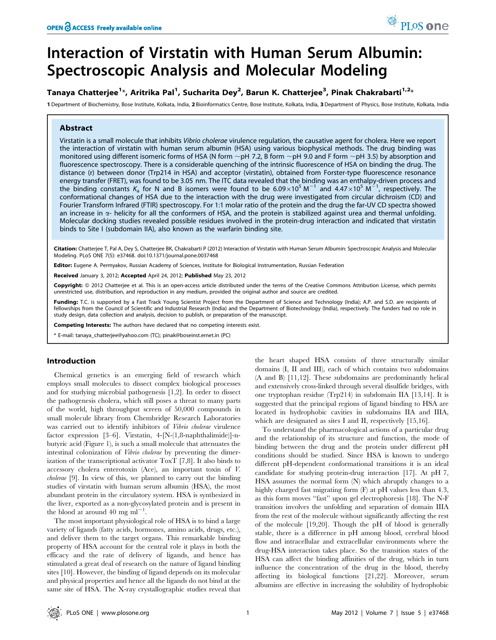# Interaction of Virstatin with Human Serum Albumin: Spectroscopic Analysis and Molecular Modeling

# Tanaya Chatterjee<sup>1</sup>\*, Aritrika Pal<sup>1</sup>, Sucharita Dey<sup>2</sup>, Barun K. Chatterjee<sup>3</sup>, Pinak Chakrabarti<sup>1,2</sup>\*

1 Department of Biochemistry, Bose Institute, Kolkata, India, 2 Bioinformatics Centre, Bose Institute, Kolkata, India, 3 Department of Physics, Bose Institute, Kolkata, India

## Abstract

Virstatin is a small molecule that inhibits Vibrio cholerae virulence regulation, the causative agent for cholera. Here we report the interaction of virstatin with human serum albumin (HSA) using various biophysical methods. The drug binding was monitored using different isomeric forms of HSA (N form  $\sim$ pH 7.2, B form  $\sim$ pH 9.0 and F form  $\sim$ pH 3.5) by absorption and fluorescence spectroscopy. There is a considerable quenching of the intrinsic fluorescence of HSA on binding the drug. The distance (r) between donor (Trp214 in HSA) and acceptor (virstatin), obtained from Forster-type fluorescence resonance energy transfer (FRET), was found to be 3.05 nm. The ITC data revealed that the binding was an enthalpy-driven process and the binding constants  $K_a$  for N and B isomers were found to be  $6.09 \times 10^5$  M<sup>-1</sup> and  $4.47 \times 10^5$  M<sup>-1</sup>, respectively. The conformational changes of HSA due to the interaction with the drug were investigated from circular dichroism (CD) and Fourier Transform Infrared (FTIR) spectroscopy. For 1:1 molar ratio of the protein and the drug the far-UV CD spectra showed an increase in  $\alpha$ - helicity for all the conformers of HSA, and the protein is stabilized against urea and thermal unfolding. Molecular docking studies revealed possible residues involved in the protein-drug interaction and indicated that virstatin binds to Site I (subdomain IIA), also known as the warfarin binding site.

Citation: Chatteriee T, Pal A, Dey S, Chatteriee BK, Chakrabarti P (2012) Interaction of Virstatin with Human Serum Albumin: Spectroscopic Analysis and Molecular Modeling. PLoS ONE 7(5): e37468. doi:10.1371/journal.pone.0037468

Editor: Eugene A. Permyakov, Russian Academy of Sciences, Institute for Biological Instrumentation, Russian Federation

Received January 3, 2012; Accepted April 24, 2012; Published May 23, 2012

Copyright: © 2012 Chatterjee et al. This is an open-access article distributed under the terms of the Creative Commons Attribution License, which permits unrestricted use, distribution, and reproduction in any medium, provided the original author and source are credited.

Funding: T.C. is supported by a Fast Track Young Scientist Project from the Department of Science and Technology (India); A.P. and S.D. are recipients of fellowships from the Council of Scientific and Industrial Research (India) and the Department of Biotechnology (India), respectively. The funders had no role in study design, data collection and analysis, decision to publish, or preparation of the manuscript.

Competing Interests: The authors have declared that no competing interests exist.

\* E-mail: tanaya\_chatterjee@yahoo.com (TC); pinak@boseinst.ernet.in (PC)

# Introduction

Chemical genetics is an emerging field of research which employs small molecules to dissect complex biological processes and for studying microbial pathogenesis [1,2]. In order to dissect the pathogenesis cholera, which still poses a threat to many parts of the world, high throughput screen of 50,000 compounds in small molecule library from Chembridge Research Laboratories was carried out to identify inhibitors of Vibrio cholerae virulence factor expression [3–6]. Virstatin, 4-[N-(1,8-naphthalimide)]-nbutyric acid (Figure 1), is such a small molecule that attenuates the intestinal colonization of Vibrio cholerae by preventing the dimerization of the transcriptional activator ToxT [7,8]. It also binds to accessory cholera enterotoxin (Ace), an important toxin of V. cholerae [9]. In view of this, we planned to carry out the binding studies of virstatin with human serum albumin (HSA), the most abundant protein in the circulatory system. HSA is synthesized in the liver, exported as a non-glycosylated protein and is present in the blood at around  $40 \text{ mg ml}^{-1}$ .

The most important physiological role of HSA is to bind a large variety of ligands (fatty acids, hormones, amino acids, drugs, etc.), and deliver them to the target organs. This remarkable binding property of HSA account for the central role it plays in both the efficacy and the rate of delivery of ligands, and hence has stimulated a great deal of research on the nature of ligand binding sites [10]. However, the binding of ligand depends on its molecular and physical properties and hence all the ligands do not bind at the same site of HSA. The X-ray crystallographic studies reveal that the heart shaped HSA consists of three structurally similar domains (I, II and III), each of which contains two subdomains (A and B) [11,12]. These subdomains are predominantly helical and extensively cross-linked through several disulfide bridges, with one tryptophan residue (Trp214) in subdomain IIA [13,14]. It is suggested that the principal regions of ligand binding to HSA are located in hydrophobic cavities in subdomains IIA and IIIA, which are designated as sites I and II, respectively [15,16].

To understand the pharmacological actions of a particular drug and the relationship of its structure and function, the mode of binding between the drug and the protein under different pH conditions should be studied. Since HSA is known to undergo different pH-dependent conformational transitions it is an ideal candidate for studying protein-drug interaction [17]. At pH 7, HSA assumes the normal form (N) which abruptly changes to a highly charged fast migrating form (F) at pH values less than 4.3, as this form moves ''fast'' upon gel electrophoresis [18]. The N-F transition involves the unfolding and separation of domain IIIA from the rest of the molecule without significantly affecting the rest of the molecule [19,20]. Though the pH of blood is generally stable, there is a difference in pH among blood, cerebral blood flow and intracellular and extracellular environments where the drug-HSA interaction takes place. So the transition states of the HSA can affect the binding affinities of the drug, which in turn influence the concentration of the drug in the blood, thereby affecting its biological functions [21,22]. Moreover, serum albumins are effective in increasing the solubility of hydrophobic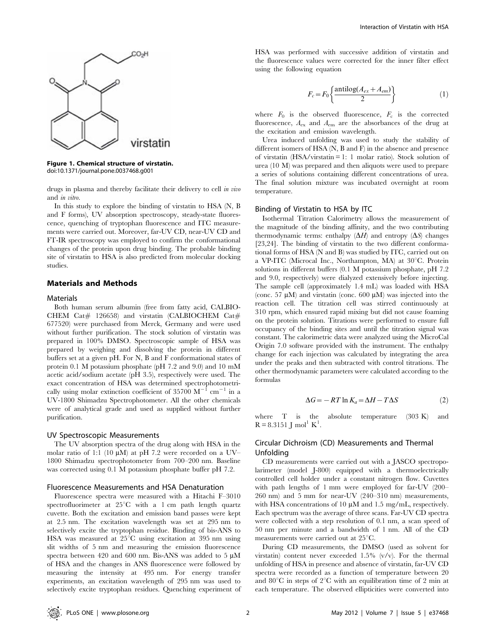

Figure 1. Chemical structure of virstatin. doi:10.1371/journal.pone.0037468.g001

drugs in plasma and thereby facilitate their delivery to cell in vivo and in vitro.

In this study to explore the binding of virstatin to HSA (N, B and F forms), UV absorption spectroscopy, steady-state fluorescence, quenching of tryptophan fluorescence and ITC measurements were carried out. Moreover, far-UV CD, near-UV CD and FT-IR spectroscopy was employed to confirm the conformational changes of the protein upon drug binding. The probable binding site of virstatin to HSA is also predicted from molecular docking studies.

## Materials and Methods

#### Materials

Both human serum albumin (free from fatty acid, CALBIO-CHEM Cat# 126658) and virstatin (CALBIOCHEM Cat# 677520) were purchased from Merck, Germany and were used without further purification. The stock solution of virstatin was prepared in 100% DMSO. Spectroscopic sample of HSA was prepared by weighing and dissolving the protein in different buffers set at a given pH. For N, B and F conformational states of protein 0.1 M potassium phosphate (pH 7.2 and 9.0) and 10 mM acetic acid/sodium acetate (pH 3.5), respectively were used. The exact concentration of HSA was determined spectrophotometrically using molar extinction coefficient of  $35700 \text{ M}^{-1} \text{ cm}^{-1}$  in a UV-1800 Shimadzu Spectrophotometer. All the other chemicals were of analytical grade and used as supplied without further purification.

#### UV Spectroscopic Measurements

The UV absorption spectra of the drug along with HSA in the molar ratio of 1:1 (10  $\mu$ M) at pH 7.2 were recorded on a UV– 1800 Shimadzu spectrophotometer from 700–200 nm. Baseline was corrected using 0.1 M potassium phosphate buffer pH 7.2.

#### Fluorescence Measurements and HSA Denaturation

Fluorescence spectra were measured with a Hitachi F–3010 spectrofluorimeter at  $25^{\circ}$ C with a 1 cm path length quartz cuvette. Both the excitation and emission band passes were kept at 2.5 nm. The excitation wavelength was set at 295 nm to selectively excite the tryptophan residue. Binding of bis-ANS to HSA was measured at  $25^{\circ}$ C using excitation at 395 nm using slit widths of 5 nm and measuring the emission fluorescence spectra between 420 and 600 nm. Bis-ANS was added to 5  $\mu$ M of HSA and the changes in ANS fluorescence were followed by measuring the intensity at 495 nm. For energy transfer experiments, an excitation wavelength of 295 nm was used to selectively excite tryptophan residues. Quenching experiment of HSA was performed with successive addition of virstatin and the fluorescence values were corrected for the inner filter effect using the following equation

$$
F_c = F_0 \left\{ \frac{\text{antilog}(A_{ex} + A_{em})}{2} \right\} \tag{1}
$$

where  $F_0$  is the observed fluorescence,  $F_c$  is the corrected fluorescence,  $A_{\text{ex}}$  and  $A_{\text{em}}$  are the absorbances of the drug at the excitation and emission wavelength.

Urea induced unfolding was used to study the stability of different isomers of HSA (N, B and F) in the absence and presence of virstatin (HSA/virstatin = 1: 1 molar ratio). Stock solution of urea (10 M) was prepared and then aliquots were used to prepare a series of solutions containing different concentrations of urea. The final solution mixture was incubated overnight at room temperature.

#### Binding of Virstatin to HSA by ITC

Isothermal Titration Calorimetry allows the measurement of the magnitude of the binding affinity, and the two contributing thermodynamic terms: enthalpy  $(\Delta H)$  and entropy  $(\Delta S)$  changes [23,24]. The binding of virstatin to the two different conformational forms of HSA (N and B) was studied by ITC, carried out on a VP-ITC (Microcal Inc., Northampton, MA) at  $30^{\circ}$ C. Protein solutions in different buffers (0.1 M potassium phosphate, pH 7.2 and 9.0, respectively) were dialyzed extensively before injecting. The sample cell (approximately 1.4 mL) was loaded with HSA (conc. 57  $\mu$ M) and virstatin (conc. 600  $\mu$ M) was injected into the reaction cell. The titration cell was stirred continuously at 310 rpm, which ensured rapid mixing but did not cause foaming on the protein solution. Titrations were performed to ensure full occupancy of the binding sites and until the titration signal was constant. The calorimetric data were analyzed using the MicroCal Origin 7.0 software provided with the instrument. The enthalpy change for each injection was calculated by integrating the area under the peaks and then subtracted with control titrations. The other thermodynamic parameters were calculated according to the formulas

$$
\Delta G = -RT \ln K_a = \Delta H - T\Delta S \tag{2}
$$

where  $T$  is the absolute temperature (303 K) and  $R = 8.3151$  J mol<sup>1</sup> K<sup>1</sup>.

# Circular Dichroism (CD) Measurements and Thermal Unfolding

CD measurements were carried out with a JASCO spectropolarimeter (model J-800) equipped with a thermoelectrically controlled cell holder under a constant nitrogen flow. Cuvettes with path lengths of 1 mm were employed for far-UV (200– 260 nm) and 5 mm for near-UV (240–310 nm) measurements, with HSA concentrations of 10  $\mu$ M and 1.5 mg/mL, respectively. Each spectrum was the average of three scans. Far-UV CD spectra were collected with a step resolution of 0.1 nm, a scan speed of 50 nm per minute and a bandwidth of 1 nm. All of the CD measurements were carried out at  $25^{\circ}$ C.

During CD measurements, the DMSO (used as solvent for virstatin) content never exceeded 1.5% (v/v). For the thermal unfolding of HSA in presence and absence of virstatin, far-UV CD spectra were recorded as a function of temperature between 20 and 80°C in steps of 2°C with an equilibration time of 2 min at each temperature. The observed ellipticities were converted into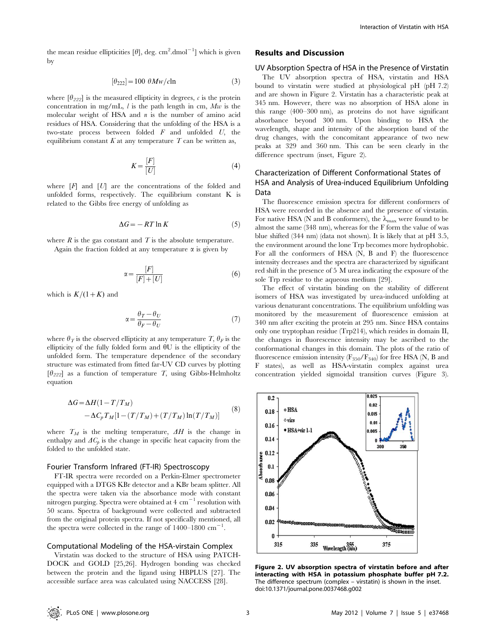the mean residue ellipticities [ $\theta$ ], deg. cm<sup>2</sup>.dmol<sup>-1</sup>] which is given by

$$
[\theta_{222}] = 100 \ \theta Mw/c\ln\tag{3}
$$

where  $[\theta_{222}]$  is the measured ellipticity in degrees, c is the protein concentration in mg/mL,  $l$  is the path length in cm,  $Mw$  is the molecular weight of HSA and  $n$  is the number of amino acid residues of HSA. Considering that the unfolding of the HSA is a two-state process between folded  $F$  and unfolded  $U$ , the equilibrium constant K at any temperature T can be written as,

$$
K = \frac{[F]}{[U]}
$$
 (4)

where  $[F]$  and  $[U]$  are the concentrations of the folded and unfolded forms, respectively. The equilibrium constant K is related to the Gibbs free energy of unfolding as

$$
\Delta G = -RT \ln K \tag{5}
$$

where  $R$  is the gas constant and  $T$  is the absolute temperature. Again the fraction folded at any temperature  $\alpha$  is given by

$$
\alpha = \frac{[F]}{[F] + [U]} \tag{6}
$$

which is  $K/(1+K)$  and

$$
\alpha = \frac{\theta_T - \theta_U}{\theta_F - \theta_U} \tag{7}
$$

where  $\theta_{\mathcal{T}}$  is the observed ellipticity at any temperature T,  $\theta_F$  is the ellipticity of the fully folded form and  $\theta U$  is the ellipticity of the unfolded form. The temperature dependence of the secondary structure was estimated from fitted far-UV CD curves by plotting  $[\theta_{222}]$  as a function of temperature T, using Gibbs-Helmholtz equation

$$
\Delta G = \Delta H (1 - T/T_M)
$$
  
- 
$$
\Delta C_p T_M [1 - (T/T_M) + (T/T_M) \ln(T/T_M)]
$$
 (8)

where  $T_M$  is the melting temperature,  $\Delta H$  is the change in enthalpy and  $AC_p$  is the change in specific heat capacity from the folded to the unfolded state.

## Fourier Transform Infrared (FT-IR) Spectroscopy

FT-IR spectra were recorded on a Perkin-Elmer spectrometer equipped with a DTGS KBr detector and a KBr beam splitter. All the spectra were taken via the absorbance mode with constant nitrogen purging. Spectra were obtained at  $4 \text{ cm}^{-1}$  resolution with 50 scans. Spectra of background were collected and subtracted from the original protein spectra. If not specifically mentioned, all the spectra were collected in the range of  $1400-1800 \text{ cm}^{-1}$ .

## Computational Modeling of the HSA-virstain Complex

Virstatin was docked to the structure of HSA using PATCH-DOCK and GOLD [25,26]. Hydrogen bonding was checked between the protein and the ligand using HBPLUS [27]. The accessible surface area was calculated using NACCESS [28].

#### Results and Discussion

#### UV Absorption Spectra of HSA in the Presence of Virstatin

The UV absorption spectra of HSA, virstatin and HSA bound to virstatin were studied at physiological pH (pH 7.2) and are shown in Figure 2. Virstatin has a characteristic peak at 345 nm. However, there was no absorption of HSA alone in this range (400–300 nm), as proteins do not have significant absorbance beyond 300 nm. Upon binding to HSA the wavelength, shape and intensity of the absorption band of the drug changes, with the concomitant appearance of two new peaks at 329 and 360 nm. This can be seen clearly in the difference spectrum (inset, Figure 2).

# Characterization of Different Conformational States of HSA and Analysis of Urea-induced Equilibrium Unfolding Data

The fluorescence emission spectra for different conformers of HSA were recorded in the absence and the presence of virstatin. For native HSA (N and B conformers), the  $\lambda_{\text{max}}$  were found to be almost the same (348 nm), whereas for the F form the value of was blue shifted (344 nm) (data not shown). It is likely that at pH 3.5, the environment around the lone Trp becomes more hydrophobic. For all the conformers of HSA (N, B and F) the fluorescence intensity decreases and the spectra are characterized by significant red shift in the presence of 5 M urea indicating the exposure of the sole Trp residue to the aqueous medium [29].

The effect of virstatin binding on the stability of different isomers of HSA was investigated by urea-induced unfolding at various denaturant concentrations. The equilibrium unfolding was monitored by the measurement of fluorescence emission at 340 nm after exciting the protein at 295 nm. Since HSA contains only one tryptophan residue (Trp214), which resides in domain II, the changes in fluorescence intensity may be ascribed to the conformational changes in this domain. The plots of the ratio of fluorescence emission intensity  $(F_{350}/F_{340})$  for free HSA (N, B and F states), as well as HSA-virstatin complex against urea concentration yielded sigmoidal transition curves (Figure 3).



Figure 2. UV absorption spectra of virstatin before and after interacting with HSA in potassium phosphate buffer pH 7.2. The difference spectrum (complex – virstatin) is shown in the inset. doi:10.1371/journal.pone.0037468.g002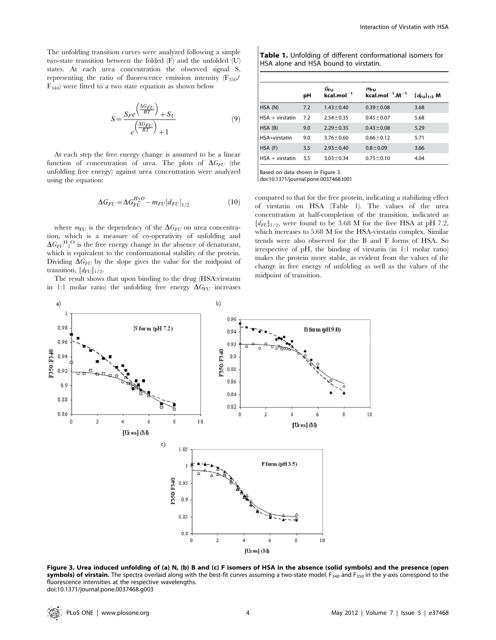The unfolding transition curves were analyzed following a simple two-state transition between the folded (F) and the unfolded (U) states. At each urea concentration the observed signal S, representing the ratio of fluorescence emission intensity  $(F_{350}/F_{350})$  $F_{340}$ ) were fitted to a two state equation as shown below

$$
S = \frac{S_F e^{\left(\frac{\Delta G_{FU}}{RT}\right)} + S_U}{e^{\left(\frac{\Delta G_F U}{RT}\right)} + 1} \tag{9}
$$

At each step the free energy change is assumed to be a linear function of concentration of urea. The plots of  $\Delta G_{FU}$  (the unfolding free energy) against urea concentration were analyzed using the equation:

$$
\Delta G_{FU} = \Delta G_{FU}^{H_2O} - m_{FU} [d_{FU}]_{1/2}
$$
 (10)

where  $m_{\text{FU}}$  is the dependency of the  $\Delta G_{\text{FI}}$  on urea concentration, which is a measure of co-operativity of unfolding and  $\Delta G_{FU}$ <sup>H</sup><sub>2</sub><sup>O</sup> is the free energy change in the absence of denaturant, which is equivalent to the conformational stability of the protein. Dividing  $\Delta G_{FU}$  by the slope gives the value for the midpoint of transition,  $[d_{\text{FU}}]_{1/2}$ .

The result shows that upon binding to the drug (HSA:virstatin in 1:1 molar ratio) the unfolding free energy  $\Delta G_{\text{FU}}$  increases

Table 1. Unfolding of different conformational isomers for HSA alone and HSA bound to virstatin.

|                    | рH  | $G_{\rm FU}$<br>$kcal.mol^{-1}$ | $m_{\text{FU}}$<br>$kcal$ .mol $^{-1}$ .M $^{-1}$ | $[d_{\text{FU}}]_{1/2}$ M |
|--------------------|-----|---------------------------------|---------------------------------------------------|---------------------------|
| HSA (N)            | 7.2 | $1.43 \pm 0.40$                 | $0.39 + 0.08$                                     | 3.68                      |
| $HSA + virstation$ | 7.2 | $2.54 \pm 0.35$                 | $0.45 \pm 0.07$                                   | 5.68                      |
| HSA (B)            | 9.0 | $2.29 \pm 0.35$                 | $0.43 \pm 0.08$                                   | 5.29                      |
| HSA+virstatin      | 9.0 | $3.76 \pm 0.60$                 | $0.66 \pm 0.12$                                   | 5.71                      |
| HSA (F)            | 3.5 | $2.93 \pm 0.40$                 | $0.8 + 0.09$                                      | 3.66                      |
| $HSA + virstatin$  | 3.5 | $3.03 \pm 0.34$                 | $0.75 \pm 0.10$                                   | 4.04                      |
|                    |     |                                 |                                                   |                           |

Based on data shown in Figure 3. doi:10.1371/journal.pone.0037468.t001

compared to that for the free protein, indicating a stabilizing effect of virstatin on HSA (Table 1). The values of the urea concentration at half-completion of the transition, indicated as  $\left[d_{FU}\right]_{1/2}$ , were found to be 3.68 M for the free HSA at pH 7.2, which increases to 5.68 M for the HSA-virstatin complex. Similar trends were also observed for the B and F forms of HSA. So irrespective of pH, the binding of virstatin (in 1:1 molar ratio) makes the protein more stable, as evident from the values of the change in free energy of unfolding as well as the values of the midpoint of transition.



Figure 3. Urea induced unfolding of (a) N, (b) B and (c) F isomers of HSA in the absence (solid symbols) and the presence (open **symbols) of virstain.** The spectra overlaid along with the best-fit curves assuming a two-state model.  $F_{340}$  and  $F_{350}$  in the y-axis correspond to the fluorescence intensities at the respective wavelengths. doi:10.1371/journal.pone.0037468.g003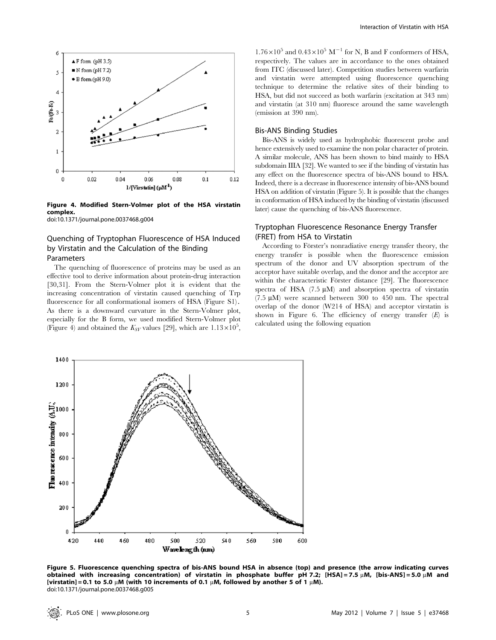

Figure 4. Modified Stern-Volmer plot of the HSA virstatin complex. doi:10.1371/journal.pone.0037468.g004

# Quenching of Tryptophan Fluorescence of HSA Induced by Virstatin and the Calculation of the Binding

#### Parameters

The quenching of fluorescence of proteins may be used as an effective tool to derive information about protein-drug interaction [30,31]. From the Stern-Volmer plot it is evident that the increasing concentration of virstatin caused quenching of Trp fluorescence for all conformational isomers of HSA (Figure S1). As there is a downward curvature in the Stern-Volmer plot, especially for the B form, we used modified Stern-Volmer plot (Figure 4) and obtained the  $K_{SV}$  values [29], which are  $1.13 \times 10^5$ ,

 $1.76\times10^5$  and  $0.43\times10^5$   $\text{M}^{-1}$  for N, B and F conformers of HSA, respectively. The values are in accordance to the ones obtained from ITC (discussed later). Competition studies between warfarin and virstatin were attempted using fluorescence quenching technique to determine the relative sites of their binding to HSA, but did not succeed as both warfarin (excitation at 343 nm) and virstatin (at 310 nm) fluoresce around the same wavelength (emission at 390 nm).

#### Bis-ANS Binding Studies

Bis-ANS is widely used as hydrophobic fluorescent probe and hence extensively used to examine the non polar character of protein. A similar molecule, ANS has been shown to bind mainly to HSA subdomain IIIA [32]. We wanted to see if the binding of virstatin has any effect on the fluorescence spectra of bis-ANS bound to HSA. Indeed, there is a decrease in fluorescence intensity of bis-ANS bound HSA on addition of virstatin (Figure 5). It is possible that the changes in conformation of HSA induced by the binding of virstatin (discussed later) cause the quenching of bis-ANS fluorescence.

# Tryptophan Fluorescence Resonance Energy Transfer (FRET) from HSA to Virstatin

According to Förster's nonradiative energy transfer theory, the energy transfer is possible when the fluorescence emission spectrum of the donor and UV absorption spectrum of the acceptor have suitable overlap, and the donor and the acceptor are within the characteristic Förster distance [29]. The fluorescence spectra of HSA  $(7.5 \mu M)$  and absorption spectra of virstatin  $(7.5 \mu M)$  were scanned between 300 to 450 nm. The spectral overlap of the donor (W214 of HSA) and acceptor virstatin is shown in Figure 6. The efficiency of energy transfer  $(E)$  is calculated using the following equation



Figure 5. Fluorescence quenching spectra of bis-ANS bound HSA in absence (top) and presence (the arrow indicating curves obtained with increasing concentration) of virstatin in phosphate buffer pH 7.2; [HSA] = 7.5 µM, [bis-ANS] = 5.0 µM and [virstatin] = 0.1 to 5.0  $\mu$ M (with 10 increments of 0.1  $\mu$ M, followed by another 5 of 1  $\mu$ M). doi:10.1371/journal.pone.0037468.g005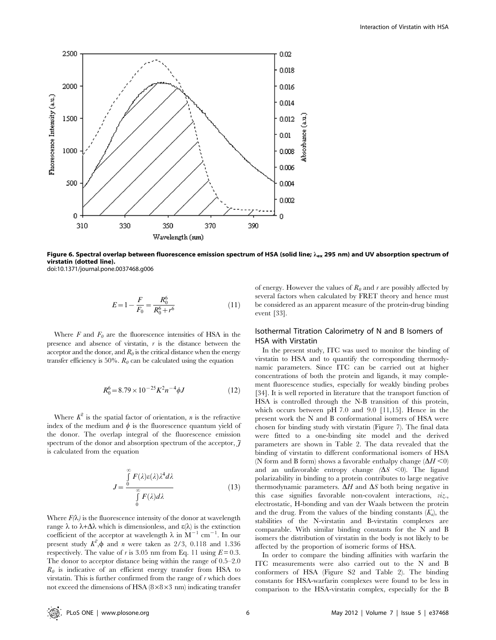

Figure 6. Spectral overlap between fluorescence emission spectrum of HSA (solid line;  $\lambda_{ex}$  295 nm) and UV absorption spectrum of virstatin (dotted line). doi:10.1371/journal.pone.0037468.g006

$$
E = 1 - \frac{F}{F_0} = \frac{R_0^6}{R_0^6 + r^6} \tag{11}
$$

Where  $F$  and  $F_0$  are the fluorescence intensities of HSA in the presence and absence of virstatin,  $r$  is the distance between the acceptor and the donor, and  $R_0$  is the critical distance when the energy transfer efficiency is 50%.  $R_{\theta}$  can be calculated using the equation

$$
R_0^6 = 8.79 \times 10^{-25} K^2 n^{-4} \phi J \tag{12}
$$

Where  $K^2$  is the spatial factor of orientation, *n* is the refractive index of the medium and  $\phi$  is the fluorescence quantum yield of the donor. The overlap integral of the fluorescence emission spectrum of the donor and absorption spectrum of the acceptor,  $\tilde{\jmath}$ is calculated from the equation

$$
J = \frac{\int_{0}^{\infty} F(\lambda)\varepsilon(\lambda)\lambda^4 d\lambda}{\int_{0}^{\infty} F(\lambda) d\lambda}
$$
 (13)

Where  $F(\lambda)$  is the fluorescence intensity of the donor at wavelength range  $\lambda$  to  $\lambda + \Delta\lambda$  which is dimensionless, and  $\varepsilon(\lambda)$  is the extinction coefficient of the acceptor at wavelength  $\lambda$  in  $M^{-1}$  cm<sup>-1</sup>. In our present study  $K^2$ ,  $\phi$  and *n* were taken as 2/3, 0.118 and 1.336 respectively. The value of r is 3.05 nm from Eq. 11 using  $E = 0.3$ . The donor to acceptor distance being within the range of 0.5–2.0  $R_0$  is indicative of an efficient energy transfer from HSA to virstatin. This is further confirmed from the range of  $r$  which does not exceed the dimensions of HSA  $(8\times8\times3$  nm) indicating transfer of energy. However the values of  $R_0$  and r are possibly affected by several factors when calculated by FRET theory and hence must be considered as an apparent measure of the protein-drug binding event [33].

# Isothermal Titration Calorimetry of N and B Isomers of HSA with Virstatin

In the present study, ITC was used to monitor the binding of virstatin to HSA and to quantify the corresponding thermodynamic parameters. Since ITC can be carried out at higher concentrations of both the protein and ligands, it may complement fluorescence studies, especially for weakly binding probes [34]. It is well reported in literature that the transport function of HSA is controlled through the N-B transition of this protein, which occurs between pH 7.0 and 9.0 [11,15]. Hence in the present work the N and B conformational isomers of HSA were chosen for binding study with virstatin (Figure 7). The final data were fitted to a one-binding site model and the derived parameters are shown in Table 2. The data revealed that the binding of virstatin to different conformational isomers of HSA (N form and B form) shows a favorable enthalpy change  $(\Delta H \le 0)$ and an unfavorable entropy change  $(\Delta S \le 0)$ . The ligand polarizability in binding to a protein contributes to large negative thermodynamic parameters.  $\Delta H$  and  $\Delta S$  both being negative in this case signifies favorable non-covalent interactions, viz., electrostatic, H-bonding and van der Waals between the protein and the drug. From the values of the binding constants  $(K_a)$ , the stabilities of the N-virstatin and B-virstatin complexes are comparable. With similar binding constants for the N and B isomers the distribution of virstatin in the body is not likely to be affected by the proportion of isomeric forms of HSA.

In order to compare the binding affinities with warfarin the ITC measurements were also carried out to the N and B conformers of HSA (Figure S2 and Table 2). The binding constants for HSA-warfarin complexes were found to be less in comparison to the HSA-virstatin complex, especially for the B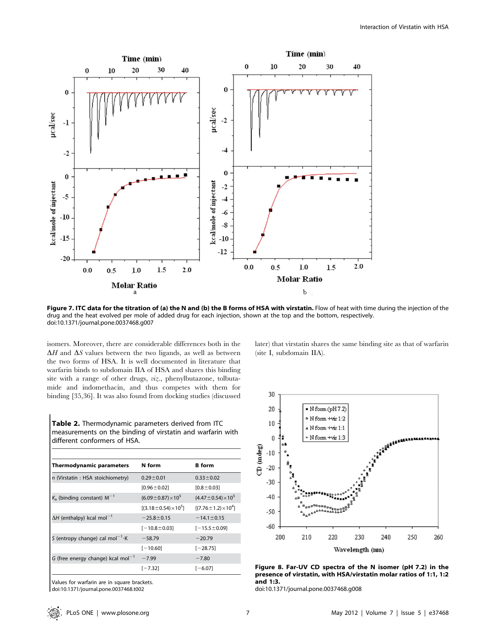

Figure 7. ITC data for the titration of (a) the N and (b) the B forms of HSA with virstatin. Flow of heat with time during the injection of the drug and the heat evolved per mole of added drug for each injection, shown at the top and the bottom, respectively. doi:10.1371/journal.pone.0037468.g007

isomers. Moreover, there are considerable differences both in the  $\Delta H$  and  $\Delta S$  values between the two ligands, as well as between the two forms of HSA. It is well documented in literature that warfarin binds to subdomain IIA of HSA and shares this binding site with a range of other drugs, viz., phenylbutazone, tolbutamide and indomethacin, and thus competes with them for binding [35,36]. It was also found from docking studies (discussed

Table 2. Thermodynamic parameters derived from ITC measurements on the binding of virstatin and warfarin with different conformers of HSA.

| <b>Thermodynamic parameters</b>              | N form                          | <b>B</b> form                  |
|----------------------------------------------|---------------------------------|--------------------------------|
| n (Virstatin: HSA stoichiometry)             | $0.29 \pm 0.01$                 | $0.33 \pm 0.02$                |
|                                              | $[0.96 \pm 0.02]$               | $[0.8 \pm 0.03]$               |
| $K_a$ (binding constant) $M^{-1}$            | $(6.09 \pm 0.87) \times 10^5$   | $(4.47 \pm 0.54) \times 10^5$  |
|                                              | $[(3.18 \pm 0.54) \times 10^5]$ | $[(7.76 \pm 1.2) \times 10^4]$ |
| $\Delta H$ (enthalpy) kcal mol <sup>-1</sup> | $-25.8 \pm 0.15$                | $-14.1 \pm 0.15$               |
|                                              | $[-10.8 \pm 0.03]$              | $[-15.5 \pm 0.09]$             |
| S (entropy change) cal mol <sup>-1</sup> K   | $-58.79$                        | $-20.79$                       |
|                                              | $[-10.60]$                      | $[-28.75]$                     |
| G (free energy change) kcal mol $^{-1}$      | $-7.99$                         | $-7.80$                        |
|                                              | [-7.32]                         | $[-6.07]$                      |
|                                              |                                 |                                |

Values for warfarin are in square brackets. doi:10.1371/journal.pone.0037468.t002

later) that virstatin shares the same binding site as that of warfarin (site I, subdomain IIA).



Figure 8. Far-UV CD spectra of the N isomer (pH 7.2) in the presence of virstatin, with HSA/virstatin molar ratios of 1:1, 1:2 and 1:3.

doi:10.1371/journal.pone.0037468.g008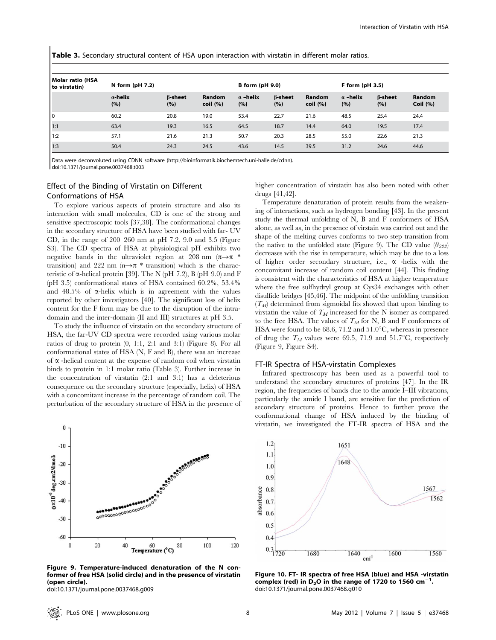Table 3. Secondary structural content of HSA upon interaction with virstatin in different molar ratios.

| Molar ratio (HSA<br>to virstatin) | N form $(pH 7.2)$      |                       |                           | <b>B</b> form (pH 9.0) |                       | $F$ form (pH 3.5)         |                        |                       |                              |
|-----------------------------------|------------------------|-----------------------|---------------------------|------------------------|-----------------------|---------------------------|------------------------|-----------------------|------------------------------|
|                                   | $\alpha$ -helix<br>(%) | $\beta$ -sheet<br>(%) | <b>Random</b><br>coil (%) | $\alpha$ -helix<br>(%) | <b>B-sheet</b><br>(%) | <b>Random</b><br>coil (%) | $\alpha$ -helix<br>(%) | $\beta$ -sheet<br>(%) | <b>Random</b><br>Coil $(% )$ |
| I٥                                | 60.2                   | 20.8                  | 19.0                      | 53.4                   | 22.7                  | 21.6                      | 48.5                   | 25.4                  | 24.4                         |
| 1:1                               | 63.4                   | 19.3                  | 16.5                      | 64.5                   | 18.7                  | 14.4                      | 64.0                   | 19.5                  | 17.4                         |
| 1:2                               | 57.1                   | 21.6                  | 21.3                      | 50.7                   | 20.3                  | 28.5                      | 55.0                   | 22.6                  | 21.3                         |
| 1:3                               | 50.4                   | 24.3                  | 24.5                      | 43.6                   | 14.5                  | 39.5                      | 31.2                   | 24.6                  | 44.6                         |

Data were deconvoluted using CDNN software (http://bioinformatik.biochemtech.uni-halle.de/cdnn). doi:10.1371/journal.pone.0037468.t003

# Effect of the Binding of Virstatin on Different Conformations of HSA

To explore various aspects of protein structure and also its interaction with small molecules, CD is one of the strong and sensitive spectroscopic tools [37,38]. The conformational changes in the secondary structure of HSA have been studied with far- UV CD, in the range of 200–260 nm at pH 7.2, 9.0 and 3.5 (Figure S3). The CD spectra of HSA at physiological pH exhibits two negative bands in the ultraviolet region at 208 nm  $(\pi \rightarrow \pi$  \* transition) and 222 nm (n $\rightarrow \pi$  \* transition) which is the characteristic of  $\alpha$ -helical protein [39]. The N (pH 7.2), B (pH 9.0) and F (pH 3.5) conformational states of HSA contained 60.2%, 53.4% and  $48.5\%$  of  $\alpha$ -helix which is in agreement with the values reported by other investigators [40]. The significant loss of helix content for the F form may be due to the disruption of the intradomain and the inter-domain (II and III) structures at pH 3.5.

To study the influence of virstatin on the secondary structure of HSA, the far-UV CD spectra were recorded using various molar ratios of drug to protein (0, 1:1, 2:1 and 3:1) (Figure 8). For all conformational states of HSA (N, F and B), there was an increase of  $\alpha$  -helical content at the expense of random coil when virstatin binds to protein in 1:1 molar ratio (Table 3). Further increase in the concentration of virstatin (2:1 and 3:1) has a deleterious consequence on the secondary structure (especially, helix) of HSA with a concomitant increase in the percentage of random coil. The perturbation of the secondary structure of HSA in the presence of



Figure 9. Temperature-induced denaturation of the N conformer of free HSA (solid circle) and in the presence of virstatin (open circle).

doi:10.1371/journal.pone.0037468.g009

higher concentration of virstatin has also been noted with other drugs [41,42].

Temperature denaturation of protein results from the weakening of interactions, such as hydrogen bonding [43]. In the present study the thermal unfolding of N, B and F conformers of HSA alone, as well as, in the presence of virstain was carried out and the shape of the melting curves conforms to two step transition from the native to the unfolded state (Figure 9). The CD value  $(\theta_{222})$ decreases with the rise in temperature, which may be due to a loss of higher order secondary structure, i.e.,  $\alpha$  -helix with the concomitant increase of random coil content [44]. This finding is consistent with the characteristics of HSA at higher temperature where the free sulfhydryl group at Cys34 exchanges with other disulfide bridges [45,46]. The midpoint of the unfolding transition  $(T_M)$  determined from sigmoidal fits showed that upon binding to virstatin the value of  $T_M$  increased for the N isomer as compared to the free HSA. The values of  $T_M$  for N, B and F conformers of HSA were found to be 68.6, 71.2 and  $51.0^{\circ}$ C, whereas in presence of drug the  $T_M$  values were 69.5, 71.9 and 51.7°C, respectively (Figure 9, Figure S4).

#### FT-IR Spectra of HSA-virstatin Complexes

Infrared spectroscopy has been used as a powerful tool to understand the secondary structures of proteins [47]. In the IR region, the frequencies of bands due to the amide I–III vibrations, particularly the amide I band, are sensitive for the prediction of secondary structure of proteins. Hence to further prove the conformational change of HSA induced by the binding of virstatin, we investigated the FT-IR spectra of HSA and the



Figure 10. FT- IR spectra of free HSA (blue) and HSA -virstatin complex (red) in  $D_2O$  in the range of 1720 to 1560 cm<sup>-1</sup>. doi:10.1371/journal.pone.0037468.g010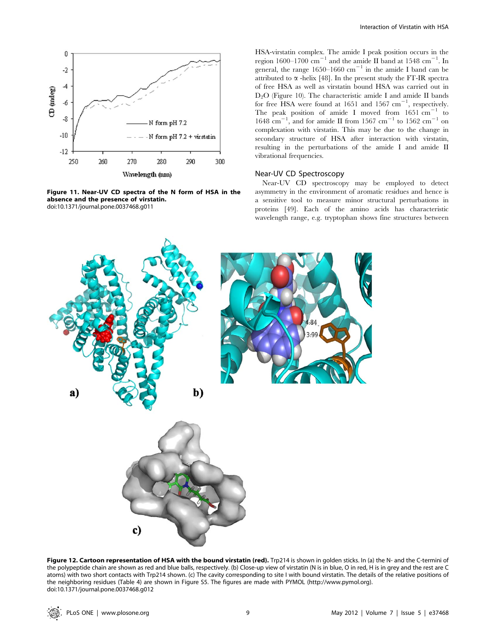

Figure 11. Near-UV CD spectra of the N form of HSA in the absence and the presence of virstatin. doi:10.1371/journal.pone.0037468.g011

HSA-virstatin complex. The amide I peak position occurs in the region  $1600-1700 \text{ cm}^{-1}$  and the amide II band at  $1548 \text{ cm}^{-1}$ . In general, the range 1650–1660  $\text{cm}^{-1}$  in the amide I band can be attributed to  $\alpha$  -helix [48]. In the present study the FT-IR spectra of free HSA as well as virstatin bound HSA was carried out in  $D_2O$  (Figure 10). The characteristic amide I and amide II bands for free HSA were found at  $1651$  and  $1567$   $\text{cm}^{-1}$ , respectively. The peak position of amide I moved from  $1651 \text{ cm}^{-1}$  to  $1648 \text{ cm}^{-1}$ , and for amide II from 1567 cm<sup>-1</sup> to 1562 cm<sup>-1</sup> on complexation with virstatin. This may be due to the change in secondary structure of HSA after interaction with virstatin, resulting in the perturbations of the amide I and amide II vibrational frequencies.

## Near-UV CD Spectroscopy

Near-UV CD spectroscopy may be employed to detect asymmetry in the environment of aromatic residues and hence is a sensitive tool to measure minor structural perturbations in proteins [49]. Each of the amino acids has characteristic wavelength range, e.g. tryptophan shows fine structures between



Figure 12. Cartoon representation of HSA with the bound virstatin (red). Trp214 is shown in golden sticks. In (a) the N- and the C-termini of the polypeptide chain are shown as red and blue balls, respectively. (b) Close-up view of virstatin (N is in blue, O in red, H is in grey and the rest are C atoms) with two short contacts with Trp214 shown. (c) The cavity corresponding to site I with bound virstatin. The details of the relative positions of the neighboring residues (Table 4) are shown in Figure S5. The figures are made with PYMOL (http://www.pymol.org). doi:10.1371/journal.pone.0037468.g012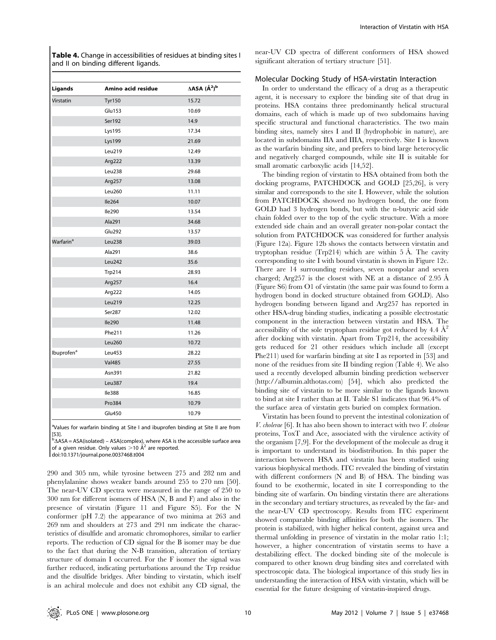Table 4. Change in accessibilities of residues at binding sites I and II on binding different ligands.

| Ligands                | Amino acid residue | $\triangle$ ASA ( $\AA$ <sup>2</sup> ) <sup>b</sup> |
|------------------------|--------------------|-----------------------------------------------------|
| Virstatin              | <b>Tyr150</b>      | 15.72                                               |
|                        | Glu153             | 10.69                                               |
|                        | Ser192             | 14.9                                                |
|                        | Lys195             | 17.34                                               |
|                        | Lys199             | 21.69                                               |
|                        | Leu219             | 12.49                                               |
|                        | Arg222             | 13.39                                               |
|                        | Leu238             | 29.68                                               |
|                        | Arg257             | 13.08                                               |
|                        | Leu260             | 11.11                                               |
|                        | <b>Ile264</b>      | 10.07                                               |
|                        | <b>Ile290</b>      | 13.54                                               |
|                        | Ala291             | 34.68                                               |
|                        | <b>Glu292</b>      | 13.57                                               |
| Warfarin <sup>a</sup>  | <b>Leu238</b>      | 39.03                                               |
|                        | Ala291             | 38.6                                                |
|                        | Leu242             | 35.6                                                |
|                        | Trp214             | 28.93                                               |
|                        | Arg257             | 16.4                                                |
|                        | Arg222             | 14.05                                               |
|                        | Leu219             | 12.25                                               |
|                        | Ser287             | 12.02                                               |
|                        | <b>Ile290</b>      | 11.48                                               |
|                        | Phe211             | 11.26                                               |
|                        | Leu260             | 10.72                                               |
| Ibuprofen <sup>a</sup> | Leu453             | 28.22                                               |
|                        | <b>Val485</b>      | 27.55                                               |
|                        | Asn391             | 21.82                                               |
|                        | Leu387             | 19.4                                                |
|                        | Ile388             | 16.85                                               |
|                        | Pro384             | 10.79                                               |
|                        | Glu450             | 10.79                                               |
|                        |                    |                                                     |

<sup>a</sup>Values for warfarin binding at Site I and ibuprofen binding at Site II are from [53].

 $b\Delta$ ASA = ASA(isolated) – ASA(complex), where ASA is the accessible surface area of a given residue. Only values  $>$  10 Å<sup>2</sup> are reported.

doi:10.1371/journal.pone.0037468.t004

290 and 305 nm, while tyrosine between 275 and 282 nm and phenylalanine shows weaker bands around 255 to 270 nm [50]. The near-UV CD spectra were measured in the range of 250 to 300 nm for different isomers of HSA (N, B and F) and also in the presence of virstatin (Figure 11 and Figure S5). For the N conformer (pH 7.2) the appearance of two minima at 263 and 269 nm and shoulders at 273 and 291 nm indicate the characteristics of disulfide and aromatic chromophores, similar to earlier reports. The reduction of CD signal for the B isomer may be due to the fact that during the N-B transition, alteration of tertiary structure of domain I occurred. For the F isomer the signal was further reduced, indicating perturbations around the Trp residue and the disulfide bridges. After binding to virstatin, which itself is an achiral molecule and does not exhibit any CD signal, the

near-UV CD spectra of different conformers of HSA showed significant alteration of tertiary structure [51].

#### Molecular Docking Study of HSA-virstatin Interaction

In order to understand the efficacy of a drug as a therapeutic agent, it is necessary to explore the binding site of that drug in proteins. HSA contains three predominantly helical structural domains, each of which is made up of two subdomains having specific structural and functional characteristics. The two main binding sites, namely sites I and II (hydrophobic in nature), are located in subdomains IIA and IIIA, respectively. Site I is known as the warfarin binding site, and prefers to bind large heterocyclic and negatively charged compounds, while site II is suitable for small aromatic carboxylic acids [14,52].

The binding region of virstatin to HSA obtained from both the docking programs, PATCHDOCK and GOLD [25,26], is very similar and corresponds to the site I. However, while the solution from PATCHDOCK showed no hydrogen bond, the one from GOLD had 3 hydrogen bonds, but with the n-butyric acid side chain folded over to the top of the cyclic structure. With a more extended side chain and an overall greater non-polar contact the solution from PATCHDOCK was considered for further analysis (Figure 12a). Figure 12b shows the contacts between virstatin and tryptophan residue (Trp214) which are within  $5 \text{ Å}$ . The cavity corresponding to site I with bound virstatin is shown in Figure 12c. There are 14 surrounding residues, seven nonpolar and seven charged; Arg $257$  is the closest with NE at a distance of  $2.95$  Å (Figure S6) from O1 of virstatin (the same pair was found to form a hydrogen bond in docked structure obtained from GOLD). Also hydrogen bonding between ligand and Arg257 has reported in other HSA-drug binding studies, indicating a possible electrostatic component in the interaction between virstatin and HSA. The accessibility of the sole tryptophan residue got reduced by 4.4  $\AA^2$ after docking with virstatin. Apart from Trp214, the accessibility gets reduced for 21 other residues which include all (except Phe211) used for warfarin binding at site I as reported in [53] and none of the residues from site II binding region (Table 4). We also used a recently developed albumin binding prediction webserver (http://albumin.althotas.com) [54], which also predicted the binding site of virstatin to be more similar to the ligands known to bind at site I rather than at II. Table S1 indicates that 96.4% of the surface area of virstatin gets buried on complex formation.

Virstatin has been found to prevent the intestinal colonization of V. cholerae [6]. It has also been shown to interact with two V. cholerae proteins, ToxT and Ace, associated with the virulence activity of the organism [7,9]. For the development of the molecule as drug it is important to understand its biodistribution. In this paper the interaction between HSA and virstatin has been studied using various biophysical methods. ITC revealed the binding of virstatin with different conformers (N and B) of HSA. The binding was found to be exothermic, located in site I corresponding to the binding site of warfarin. On binding virstatin there are alterations in the secondary and tertiary structures, as revealed by the far- and the near-UV CD spectroscopy. Results from ITC experiment showed comparable binding affinities for both the isomers. The protein is stabilized, with higher helical content, against urea and thermal unfolding in presence of virstatin in the molar ratio 1:1; however, a higher concentration of virstatin seems to have a destabilizing effect. The docked binding site of the molecule is compared to other known drug binding sites and correlated with spectroscopic data. The biological importance of this study lies in understanding the interaction of HSA with virstatin, which will be essential for the future designing of virstatin-inspired drugs.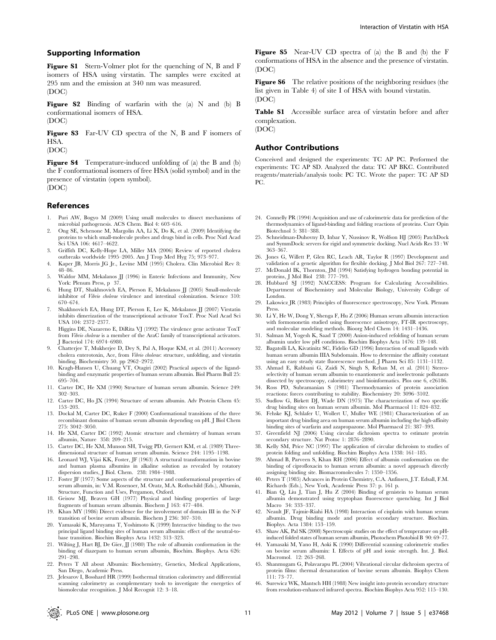Figure S1 Stern-Volmer plot for the quenching of N, B and F isomers of HSA using virstatin. The samples were excited at 295 nm and the emission at 340 nm was measured. (DOC)

Figure S2 Binding of warfarin with the (a) N and (b) B conformational isomers of HSA.

(DOC)

Figure S3 Far-UV CD spectra of the N, B and F isomers of HSA.

(DOC)

Figure S4 Temperature-induced unfolding of (a) the B and (b) the F conformational isomers of free HSA (solid symbol) and in the presence of virstatin (open symbol). (DOC)

References

- 1. Puri AW, Bogyo M (2009) Using small molecules to dissect mechanisms of microbial pathogenesis. ACS Chem. Biol 4: 603–616.
- 2. Ong SE, Schenone M, Margolin AA, Li X, Do K, et al. (2009) Identifying the proteins to which small-molecule probes and drugs bind in cells. Proc Natl Acad Sci USA 106: 4617–4622.
- 3. Griffith DC, Kelly-Hope LA, Miller MA (2006) Review of reported cholera outbreaks worldwide 1995–2005. Am J Trop Med Hyg 75; 973–977.
- 4. Kaper JB, Morris JG Jr., Levine MM (1995) Cholera. Clin Microbiol Rev 8: 48–86.
- 5. Waldor MM, Mekalanos JJ (1996) in Enteric Infections and Immunity, New York: Plenum Press, p 37.
- 6. Hung DT, Shakhnovich EA, Pierson E, Mekalanos JJ (2005) Small-molecule inhibitor of Vibrio cholerae virulence and intestinal colonization. Science 310: 670–674.
- 7. Shakhnovich EA, Hung DT, Pierson E, Lee K, Mekalanos JJ (2007) Virstatin inhibits dimerization of the transcriptional activator ToxT. Proc Natl Acad Sci USA 104: 2372–2377.
- 8. Higgins DE, Nazareno E, DiRita VJ (1992) The virulence gene activator ToxT from Vibrio cholerae is a member of the AraC family of transcriptional activators. J Bacteriol 174: 6974–6980.
- Chatterjee T, Mukherjee D, Dey S, Pal A, Hoque KM, et al. (2011) Accessory cholera enterotoxin, Ace, from *Vibrio cholerae*: structure, unfolding, and virstatin binding. Biochemistry 50. pp 2962–2972.
- 10. Kragh-Hansen U, Chuang VT, Otagiri (2002) Practical aspects of the ligandbinding and enzymatic properties of human serum albumin. Biol Pharm Bull 25: 695–704.
- 11. Carter DC, He XM (1990) Structure of human serum albumin. Science 249: 302–303.
- 12. Carter DC, Ho JX (1994) Structure of serum albumin. Adv Protein Chem 45: 153–203.
- 13. Dockal M, Carter DC, Ruker F (2000) Conformational transitions of the three recombinant domains of human serum albumin depending on pH. J Biol Chem 275: 3042–3050.
- 14. He XM, Carter DC (1992) Atomic structure and chemistry of human serum albumin, Nature 358: 209–215.
- 15. Carter DC, He XM, Munson SH, Twigg PD, Gernert KM, et al. (1989) Threedimensional structure of human serum albumin. Science 244: 1195–1198.
- 16. Leonard WJ, Vijai KK, Foster, JF (1963) A structural transformation in bovine and human plasma albumins in alkaline solution as revealed by rotatory dispersion studies, J Biol. Chem. 238: 1984–1988.
- 17. Foster JF (1977) Some aspects of the structure and conformational properties of serum albumin, in: V.M. Rosenoer, M. Oratz, M.A. Rothschild (Eds.), Albumin, Structure, Function and Uses, Pergamon, Oxford.
- 18. Geisow MJ, Beaven GH (1977) Physical and binding properties of large fragments of human serum albumin. Biochem J 163: 477–484.
- 19. Khan MY (1986) Direct evidence for the involvement of domain III in the N-F transition of bovine serum albumin. Biochem J 236: 307–310.
- 20. Yamasaki K, Maruyama T, Yoshimoto K (1999) Interactive binding to the two principal ligand binding sites of human serum albumin: effect of the neutral-tobase transition. Biochim Biophys Acta 1432: 313–323.
- 21. Wilting J, Hart BJ, De Gier, JJ (1980) The role of albumin conformation in the binding of diazepam to human serum albumin, Biochim. Biophys. Acta 626: 291–298.
- 22. Peters T All about Albumin: Biochemistry, Genetics, Medical Applications, San Diego, Academic Press.
- 23. Jelesarov I, Bosshard HR (1999) Isothermal titration calorimetry and differential canning calorimetry as complementary tools to investigate the energetics of biomolecular recognition. J Mol Recognit 12: 3–18.

Figure S5 Near-UV CD spectra of (a) the B and (b) the F conformations of HSA in the absence and the presence of virstatin. (DOC)

Figure S6 The relative positions of the neighboring residues (the list given in Table 4) of site I of HSA with bound virstatin. (DOC)

Table S1 Accessible surface area of virstatin before and after complexation.

(DOC)

# Author Contributions

Conceived and designed the experiments: TC AP PC. Performed the experiments: TC AP SD. Analyzed the data: TC AP BKC. Contributed reagents/materials/analysis tools: PC TC. Wrote the paper: TC AP SD PC.

- 24. Connelly PR (1994) Acquisition and use of calorimetric data for prediction of the thermodynamics of ligand-binding and folding reactions of proteins. Curr Opin Biotechnol 5: 381–388.
- 25. Schneidman-Duhovny D, Inbar Y, Nussinov R, Wolfson HJ (2005) PatchDock and SymmDock: servers for rigid and symmetric docking. Nucl Acids Res 33 : W 363–367.
- 26. Jones G, Willett P, Glen RC, Leach AR, Taylor R (1997) Development and validation of a genetic algorithm for flexible docking. J Mol Biol 267: 727–748.
- 27. McDonald IK, Thornton, JM (1994) Satisfying hydrogen bonding potential in proteins, J Mol Biol 238: 777–793.
- 28. Hubbard SJ (1992) NACCESS: Program for Calculating Accessibilities. Department of Biochemistry and Molecular Biology, University College of London.
- 29. Lakowicz JR (1983) Principles of fluorescence spectroscopy, New York. Plenum Press.
- 30. Li Y, He W, Dong Y, Shenga F, Hu Z (2006) Human serum albumin interaction with formononetin studied using fluorescence anisotropy, FT-IR spectroscopy, and molecular modeling methods. Bioorg Med Chem 14: 1431–1436.
- 31. Salman M, Yogesh K, Saad T (2000) Anion-induced refolding of human serum albumin under low pH conditions. Biochim Biophys Acta 1476: 139–148.
- 32. Bagatolli LA, Kivatinitz SC, Fidelio GD (1996) Interaction of small ligands with human serum albumin IIIA Subdomain. How to determine the affinity constant using an easy steady state fluorescence method. J Pharm Sci 85: 1131–1132.
- 33. Ahmad E, Rabbani G, Zaidi N, Singh S, Rehan M, et al. (2011) Stereoselectivity of human serum albumin to enantiomeric and isoelectronic pollutants dissected by spectroscopy, calorimetry and bioinformatics. Plos one 6, e26186.
- 34. Ross PD, Subramanian S (1981) Thermodynamics of protein association reactions: forces contributing to stability. Biochemistry 20: 3096–3102.
- 35. Sudlow G, Birkett DJ, Wade DN (1975) The characterization of two specific drug binding sites on human serum albumin. Mol Pharmacol 11: 824–832.
- 36. Fehske KJ, Schlafer U, Wollert U, Muller WE (1981) Characterization of an important drug binding area on human serum albumin including the high-affinity binding sites of warfarin and azapropazone. Mol Pharmacol 21: 387–393.
- 37. Greenfield NJ (2006) Using circular dichroism spectra to estimate protein secondary structure. Nat Protoc 1: 2876–2890.
- 38. Kelly SM, Price NC (1997) The application of circular dichroism to studies of protein folding and unfolding. Biochim Biophys Acta 1338: 161–185.
- 39. Ahmad B, Parveen S, Khan RH (2006) Effect of albumin conformation on the binding of ciprofloxacin to human serum albumin: a novel approach directly assigning binding site. Biomacromolecules 7: 1350–1356.
- 40. Peters T (1985) Advances in Protein Chemistry, C.A. Anfinsen, J.T. Edsall, F.M. Richards (Eds.), New York, Academic Press 37: p. 161 p.
- 41. Bian Q, Liu J, Tian J, Hu Z (2004) Binding of genistein to human serum albumin demonstrated using tryptophan fluorescence quenching. Int J Biol Macro 34: 333–337.
- 42. Neault JF, Tajmir-Riahi HA (1998) Interaction of cisplatin with human serum albumin. Drug binding mode and protein secondary structure. Biochim. Biophys. Acta 1384: 153–159.
- 43. Shaw AK, Pal SK (2008) Spectroscopic studies on the effect of temperature on pHinduced folded states of human serum albumin, Photochem Photobiol B 90: 69–77.
- 44. Yamasaki M, Yano H, Aoki K (1990) Differential scanning calorimetric studies on bovine serum albumin: I. Effects of pH and ionic strength. Int. J. Biol. Macromol. 12: 263–268.
- 45. Shanmugam G, Polavarapu PL (2004) Vibrational circular dichroism spectra of protein films: thermal denaturation of bovine serum albumin. Biophys Chem 111: 73–77.
- 46. Surewicz WK, Mantsch HH (1988) New insight into protein secondary structure from resolution-enhanced infrared spectra. Biochim Biophys Acta 952: 115–130.